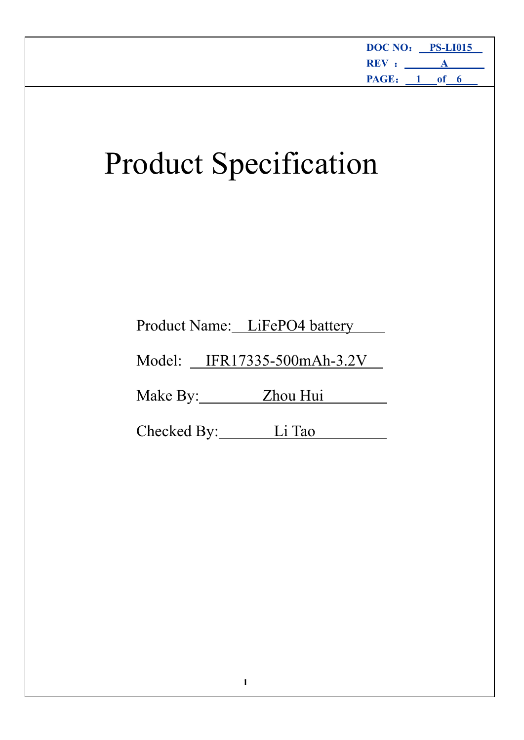|                                    | DOC NO: PS-LI015<br>$REV:$ $A$<br>PAGE: 1 of 6 |
|------------------------------------|------------------------------------------------|
| <b>Product Specification</b>       |                                                |
|                                    |                                                |
| Product Name: LiFePO4 battery      |                                                |
| Model: <u>IFR17335-500mAh-3.2V</u> |                                                |
| Make By: Zhou Hui                  |                                                |
| Checked By:<br>Li Tao              |                                                |
|                                    |                                                |
|                                    |                                                |
|                                    |                                                |
|                                    |                                                |
|                                    |                                                |
|                                    |                                                |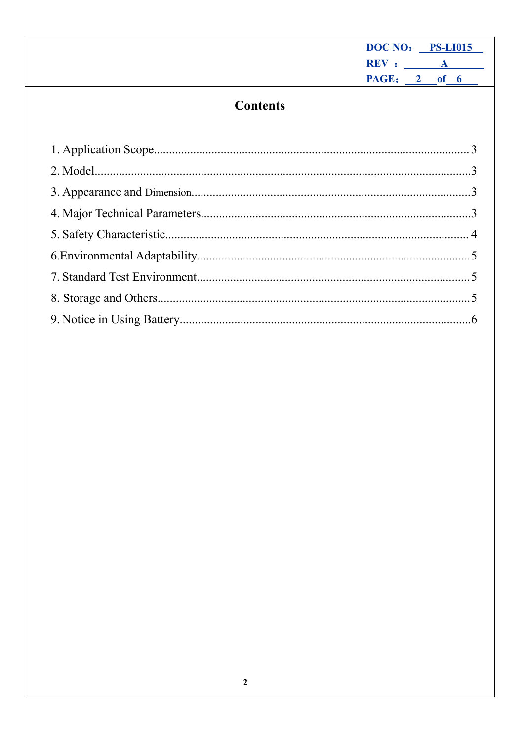| DOC NO: PS-LI015 |              |  |
|------------------|--------------|--|
| REV :            | $\mathbf{A}$ |  |
| PAGE: 2 of 6     |              |  |
|                  |              |  |

# **Contents**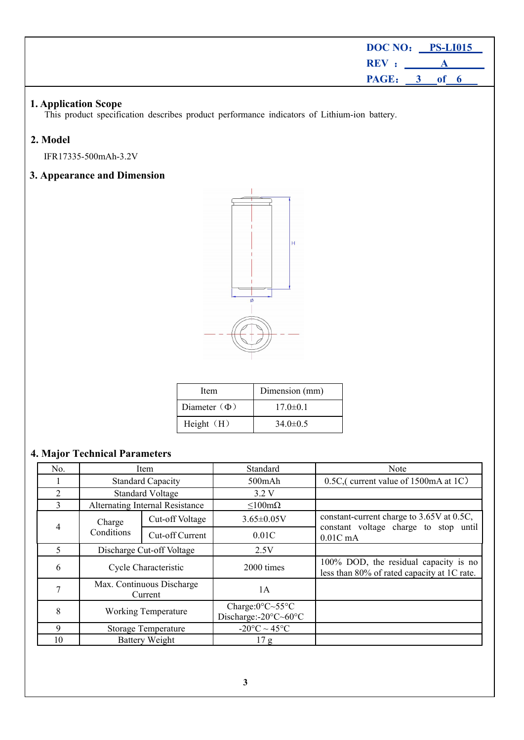<span id="page-2-3"></span><span id="page-2-2"></span><span id="page-2-1"></span><span id="page-2-0"></span>

|                                  | DOC NO: PS-LI015                                                                                                    |                                                   |                     |                           |                                                           |                                                                                    |                                                                                      |         |  |  |      |  |
|----------------------------------|---------------------------------------------------------------------------------------------------------------------|---------------------------------------------------|---------------------|---------------------------|-----------------------------------------------------------|------------------------------------------------------------------------------------|--------------------------------------------------------------------------------------|---------|--|--|------|--|
|                                  |                                                                                                                     |                                                   |                     |                           |                                                           |                                                                                    | REV :<br>$\mathbf A$                                                                 |         |  |  |      |  |
|                                  |                                                                                                                     |                                                   |                     |                           |                                                           |                                                                                    |                                                                                      | PAGE: 3 |  |  | of 6 |  |
|                                  | 1. Application Scope<br>This product specification describes product performance indicators of Lithium-ion battery. |                                                   |                     |                           |                                                           |                                                                                    |                                                                                      |         |  |  |      |  |
| 2. Model                         |                                                                                                                     |                                                   |                     |                           |                                                           |                                                                                    |                                                                                      |         |  |  |      |  |
|                                  | IFR17335-500mAh-3.2V                                                                                                |                                                   |                     |                           |                                                           |                                                                                    |                                                                                      |         |  |  |      |  |
|                                  | 3. Appearance and Dimension                                                                                         |                                                   |                     |                           |                                                           |                                                                                    |                                                                                      |         |  |  |      |  |
|                                  |                                                                                                                     |                                                   |                     |                           | H                                                         |                                                                                    |                                                                                      |         |  |  |      |  |
|                                  |                                                                                                                     |                                                   | Item                |                           | Dimension (mm)                                            |                                                                                    |                                                                                      |         |  |  |      |  |
|                                  |                                                                                                                     |                                                   | Diameter ( $\Phi$ ) |                           | $17.0 \pm 0.1$                                            |                                                                                    |                                                                                      |         |  |  |      |  |
|                                  |                                                                                                                     |                                                   | Height (H)          |                           | $34.0 \pm 0.5$                                            |                                                                                    |                                                                                      |         |  |  |      |  |
|                                  | <b>4. Major Technical Parameters</b>                                                                                |                                                   |                     |                           |                                                           |                                                                                    |                                                                                      |         |  |  |      |  |
| No.                              |                                                                                                                     | Item                                              |                     |                           | Standard                                                  |                                                                                    |                                                                                      | Note    |  |  |      |  |
| 1                                |                                                                                                                     | <b>Standard Capacity</b>                          |                     |                           | $500$ m $Ah$                                              |                                                                                    | 0.5C, (current value of 1500mA at 1C)                                                |         |  |  |      |  |
| $\overline{2}$<br>$\overline{3}$ |                                                                                                                     | <b>Standard Voltage</b>                           |                     |                           | 3.2 V                                                     |                                                                                    |                                                                                      |         |  |  |      |  |
|                                  | Alternating Internal Resistance                                                                                     |                                                   | Cut-off Voltage     |                           | $\leq 100$ m $\Omega$                                     |                                                                                    |                                                                                      |         |  |  |      |  |
| $\overline{4}$                   | Charge<br>Conditions                                                                                                |                                                   | Cut-off Current     | $3.65 \pm 0.05V$<br>0.01C |                                                           | constant-current charge to 3.65V at 0.5C,<br>constant voltage charge to stop until |                                                                                      |         |  |  |      |  |
| 5                                |                                                                                                                     |                                                   | 2.5V                |                           | $0.01C$ mA                                                |                                                                                    |                                                                                      |         |  |  |      |  |
| 6                                |                                                                                                                     | Discharge Cut-off Voltage<br>Cycle Characteristic |                     | 2000 times                |                                                           |                                                                                    | 100% DOD, the residual capacity is no<br>less than 80% of rated capacity at 1C rate. |         |  |  |      |  |
| $\tau$                           | Max. Continuous Discharge<br>Current                                                                                |                                                   | 1A                  |                           |                                                           |                                                                                    |                                                                                      |         |  |  |      |  |
| 8                                | <b>Working Temperature</b>                                                                                          |                                                   |                     |                           | Charge:0°C~55°C<br>Discharge:- $20^{\circ}$ C $\sim$ 60°C |                                                                                    |                                                                                      |         |  |  |      |  |
| 9                                | Storage Temperature                                                                                                 |                                                   |                     |                           | -20 $^{\circ}$ C $\sim$ 45 $^{\circ}$ C                   |                                                                                    |                                                                                      |         |  |  |      |  |
| 10                               | <b>Battery Weight</b>                                                                                               |                                                   |                     |                           | 17 <sub>g</sub>                                           |                                                                                    |                                                                                      |         |  |  |      |  |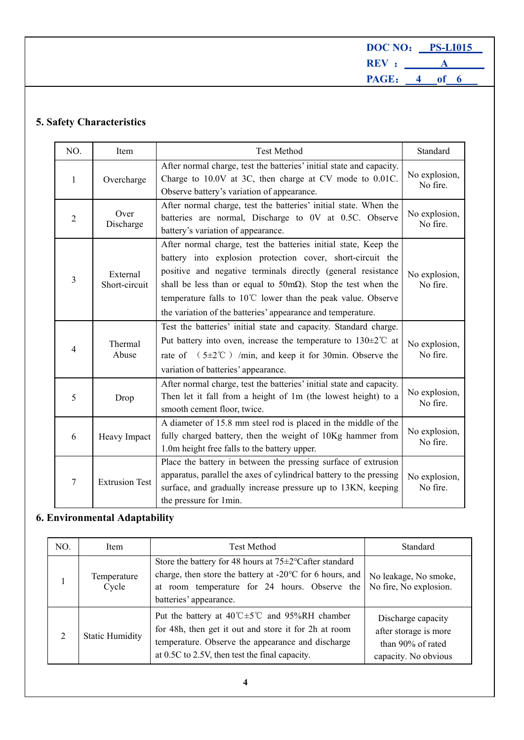**DOC NO**: **PS-LI015 REV** : **A PAGE**: **4 of 6**

## <span id="page-3-1"></span><span id="page-3-0"></span>**5. Safety Characteristics**

| NO.            | Item                      | <b>Test Method</b>                                                                                                                                                                                                                                                                                                                                                                                           | Standard                  |
|----------------|---------------------------|--------------------------------------------------------------------------------------------------------------------------------------------------------------------------------------------------------------------------------------------------------------------------------------------------------------------------------------------------------------------------------------------------------------|---------------------------|
| $\mathbf{1}$   | Overcharge                | After normal charge, test the batteries' initial state and capacity.<br>Charge to 10.0V at 3C, then charge at CV mode to 0.01C.<br>Observe battery's variation of appearance.                                                                                                                                                                                                                                | No explosion,<br>No fire. |
| $\overline{2}$ | Over<br>Discharge         | After normal charge, test the batteries' initial state. When the<br>batteries are normal, Discharge to 0V at 0.5C. Observe<br>battery's variation of appearance.                                                                                                                                                                                                                                             | No explosion,<br>No fire. |
| 3              | External<br>Short-circuit | After normal charge, test the batteries initial state, Keep the<br>battery into explosion protection cover, short-circuit the<br>positive and negative terminals directly (general resistance<br>shall be less than or equal to $50 \text{m}\Omega$ ). Stop the test when the<br>temperature falls to 10°C lower than the peak value. Observe<br>the variation of the batteries' appearance and temperature. | No explosion,<br>No fire. |
| 4              | Thermal<br>Abuse          | Test the batteries' initial state and capacity. Standard charge.<br>Put battery into oven, increase the temperature to $130\pm2\degree$ at<br>rate of $(5\pm2^{\circ}\text{C})$ /min, and keep it for 30min. Observe the<br>variation of batteries' appearance.                                                                                                                                              | No explosion,<br>No fire. |
| 5              | Drop                      | After normal charge, test the batteries' initial state and capacity.<br>Then let it fall from a height of 1m (the lowest height) to a<br>smooth cement floor, twice.                                                                                                                                                                                                                                         | No explosion,<br>No fire. |
| 6              | Heavy Impact              | A diameter of 15.8 mm steel rod is placed in the middle of the<br>fully charged battery, then the weight of 10Kg hammer from<br>1.0m height free falls to the battery upper.                                                                                                                                                                                                                                 | No explosion,<br>No fire. |
| 7              | <b>Extrusion Test</b>     | Place the battery in between the pressing surface of extrusion<br>apparatus, parallel the axes of cylindrical battery to the pressing<br>surface, and gradually increase pressure up to 13KN, keeping<br>the pressure for 1min.                                                                                                                                                                              | No explosion,<br>No fire. |

# <span id="page-3-2"></span>**6. Environmental Adaptability**

| NO. | Item                   | Test Method                                                                                                                                                                                                                               | Standard                                                                                 |
|-----|------------------------|-------------------------------------------------------------------------------------------------------------------------------------------------------------------------------------------------------------------------------------------|------------------------------------------------------------------------------------------|
|     | Temperature<br>Cycle   | Store the battery for 48 hours at $75\pm2\degree$ Cafter standard<br>charge, then store the battery at -20°C for 6 hours, and<br>at room temperature for 24 hours. Observe the<br>batteries' appearance.                                  | No leakage, No smoke,<br>No fire, No explosion.                                          |
| 2   | <b>Static Humidity</b> | Put the battery at $40^{\circ}$ C $\pm$ 5 <sup>°</sup> C and 95%RH chamber<br>for 48h, then get it out and store it for 2h at room<br>temperature. Observe the appearance and discharge<br>at 0.5C to 2.5V, then test the final capacity. | Discharge capacity<br>after storage is more<br>than 90% of rated<br>capacity. No obvious |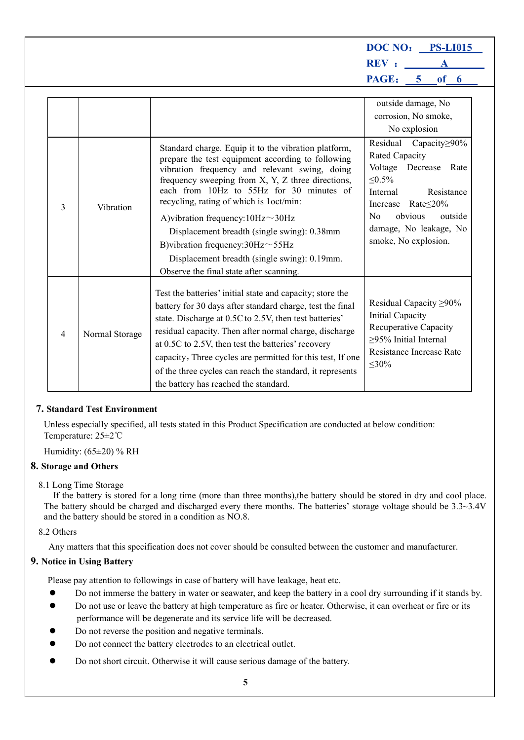**DOC NO**: **PS-LI015 REV** : **A PAGE**: **5 of 6**

|   |                |                                                                                                                                                                                                                                                                                                                                                                                                                                                                                                                                 | outside damage, No<br>corrosion, No smoke,<br>No explosion                                                                                                                                                                    |
|---|----------------|---------------------------------------------------------------------------------------------------------------------------------------------------------------------------------------------------------------------------------------------------------------------------------------------------------------------------------------------------------------------------------------------------------------------------------------------------------------------------------------------------------------------------------|-------------------------------------------------------------------------------------------------------------------------------------------------------------------------------------------------------------------------------|
| 3 | Vibration      | Standard charge. Equip it to the vibration platform,<br>prepare the test equipment according to following<br>vibration frequency and relevant swing, doing<br>frequency sweeping from X, Y, Z three directions,<br>each from 10Hz to 55Hz for 30 minutes of<br>recycling, rating of which is 1oct/min:<br>A)vibration frequency:10Hz~30Hz<br>Displacement breadth (single swing): 0.38mm<br>B) vibration frequency: $30Hz \sim 55Hz$<br>Displacement breadth (single swing): 0.19mm.<br>Observe the final state after scanning. | Residual<br>Capacity > 90%<br>Rated Capacity<br>Voltage<br>Decrease Rate<br>$\leq 0.5\%$<br>Resistance<br>Internal<br>Increase Rate $\leq$ 20%<br>obvious<br>No.<br>outside<br>damage, No leakage, No<br>smoke, No explosion. |
| 4 | Normal Storage | Test the batteries' initial state and capacity; store the<br>battery for 30 days after standard charge, test the final<br>state. Discharge at 0.5C to 2.5V, then test batteries'<br>residual capacity. Then after normal charge, discharge<br>at 0.5C to 2.5V, then test the batteries' recovery<br>capacity, Three cycles are permitted for this test, If one<br>of the three cycles can reach the standard, it represents<br>the battery has reached the standard.                                                            | Residual Capacity $\geq 90\%$<br>Initial Capacity<br>Recuperative Capacity<br>$\geq$ 95% Initial Internal<br>Resistance Increase Rate<br>$\leq 30\%$                                                                          |

#### **7. Standard Test Environment**

Unless especially specified, all tests stated in this Product Specification are conducted at below condition: Temperature: 25±2℃

Humidity: (65±20) % RH

#### <span id="page-4-0"></span>**8. Storage and Others**

#### 8.1 Long Time Storage

If the battery is stored for a long time (more than three months),the battery should be stored in dry and cool place. The battery should be charged and discharged every there months. The batteries' storage voltage should be 3.3~3.4V and the battery should be stored in a condition as NO.8.

#### 8.2 Others

Any matters that this specification does not cover should be consulted between the customer and manufacturer.

### <span id="page-4-1"></span>**9. Notice in Using Battery**

Please pay attention to followings in case of battery will have leakage, heat etc.

- Do not immerse the battery in water or seawater, and keep the battery in a cool dry surrounding if it stands by.
- Do not use or leave the battery at high temperature as fire or heater. Otherwise, it can overheat or fire or its performance will be degenerate and its service life will be decreased.
- Do not reverse the position and negative terminals.
- Do not connect the battery electrodes to an electrical outlet.
- Do not short circuit. Otherwise it will cause serious damage of the battery.